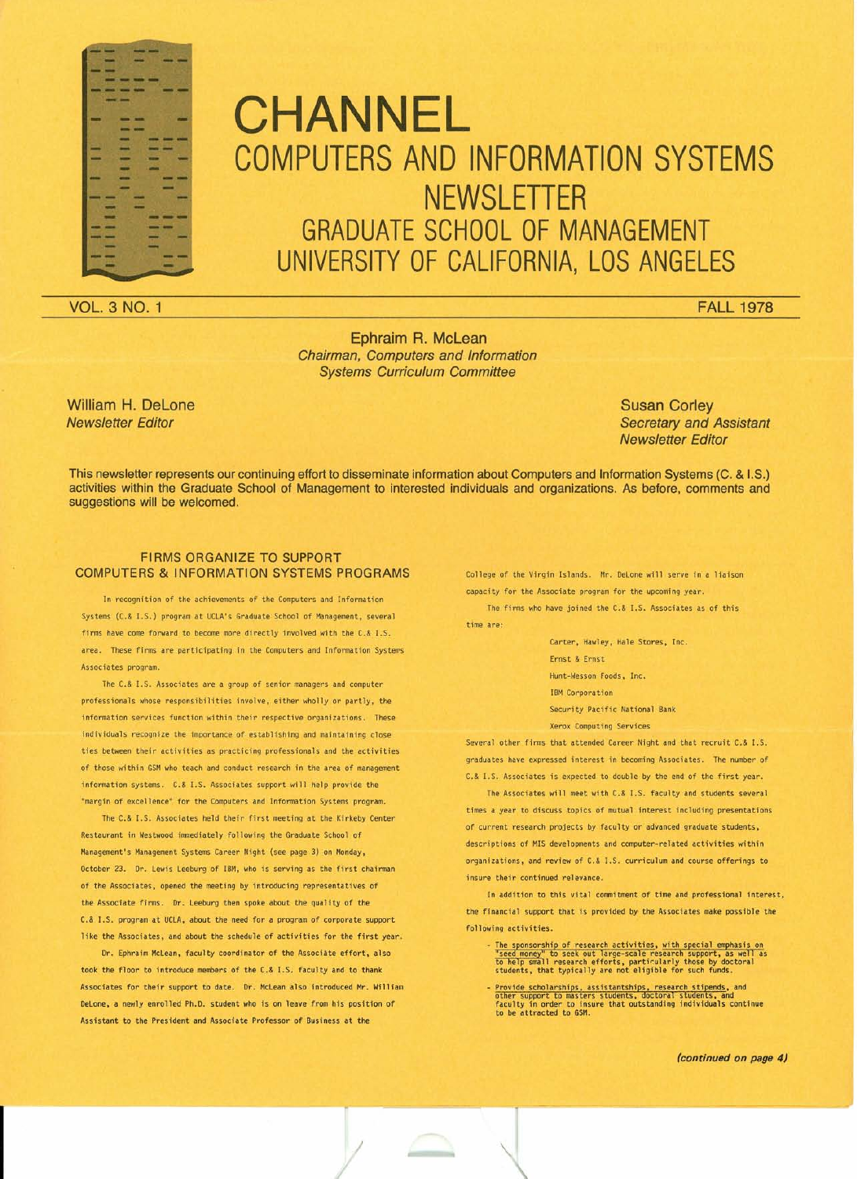

# **CHANNEL** COMPUTERS AND INFORMATION SYSTEMS **NEWSLETTER** GRADUATE SCHOOL OF MANAGEMENT UNIVERSITY OF CALIFORNIA, LOS ANGELES

VOL. 3 NO.1 FAll 1978

Ephraim R. Mclean *Chairman, Computers and Information Systems Curriculum Committee*

William H. Delone *Newsletter Editor*

Susan Corley *Secretary and Assistant Newsletter Editor*

This newsletter represents our continuing effort to disseminate information about Computers and Information Systems (C. & 1.5.) activities within the Graduate School of Management to interested individuals and organizations. As before, comments and suggestions will be welcomed.

## **FIRMS ORGANIZE TO SUPPORT** COMPUTERS & INFORMATION SYSTEMS PROGRAMS College of the Virgin Islands. Mr. Delane will serve in a liaison

In recognition of the achievements of the Computers and Information Systems (C.& I.S.) program at UCLA's Graduate School of Management, several firms have come forward to become more directly involved with the C.& 1.5. area. These firms are participating in the Computers and Information Systerrs Associates program.

The C.& I.S. Associates are a group of senior managers and computer professionals whose responsibilities involve, either wholly or partly, the information services function within their respective organizations. These individuals recognize the importance of establishing and maintaining close ties between their activities as practicing professionals and the activities of those within GSM who teach and conduct research in the area of management information systems. C.& I.S. Associates support will help provide the "margin of excellence" for the Computers and Infonnation Systems program.

The C.& I.S. Associates held their first meeting at the Kirkeby Center Restaurant in Westwood immediately following the Graduate School of Management's Management Systems Career Night (see page 3) on Monday, October 23. Dr. Lewis leeburg of IBM, who is serving as the first chainnan of the Associates, opened the meeting by introducing representatives of the Associate firms. Dr. Leeburg then spoke about the quality of the C.& I.S. program at UCLA, about the need for a program of corporate support like the Associates, and about the schedule of activities for the first year.

Dr. Ephraim McLean, faculty coordinator of the Associate effort, also took the floor to introduce members of the C.& I.S. faculty and to thank Associates for their support to date. Dr. McLean also introduced Mr. William DeLone, a newly enrolled Ph.D. student who is on leave from his position of Assistant to the President and Associate Professor of Business at the

capacity for the Associate program for the upcoming year.

The firms who have joined the C.& 1.5. Associates as of this time are:

> Carter, Hawley, Hale Stores. Inc. Ernst & Ernst Hunt-Wesson Foods, Inc. **IBM** Corporation Security Pacific National Bank Xerox Computing Services

Several other firms that attended Career Night and that recruit C.& I.S. graduates have expressed interest in becoming Associates. The number of C.& I.S. Associates is expected to double by the end of the first year.

The Associates will meet with C.& I.S. faculty and students several times a year to discuss topics of mutual interest including presentations of current research projects by faculty or advanced graduate students, descriptions of MIS developments and computer-related activities within organizations, and review of C.& I.S. curriculum and course offerings to insure their continued relevance.

In addition to this vital commitment of time and professional interest, the financial support that is provided by the Associates make possible the following activities.

- The sponsorship of research activities. with special emphasis on "seed moneyh to seek out large-scale research support, as well as to help small research efforts, partir:ularly those by doctoral

- Provide scholarships, assistantships, research stipends, and<br>other support to masters students, doctoral students, and<br>faculty in order to insure that outstanding individuals continu<br>to be attracted to GSM.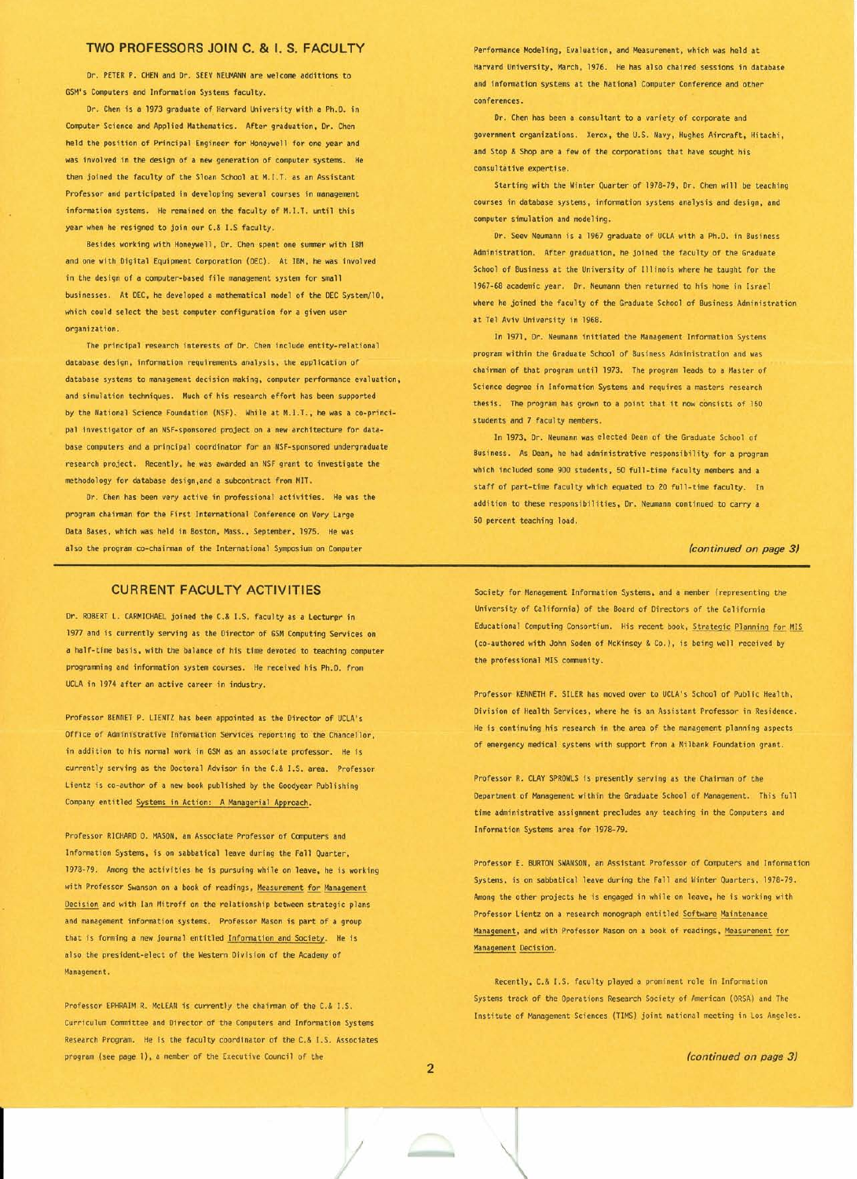# TWO PROFESSORS JOIN C. & I. S. FACULTY Performance Modeling, Evaluation, and Measurement, which was held at

Dr. PETER P. CHEN and Dr. SEEV NEUMANN are welcome additions to GSM's Computers and Infonnation Systems faculty.

Dr. Chen is a 1973 graduate of Harvard University with a Ph.D. in Computer Science and Applied Mathematics. After graduation, Dr. Chen held the position of Principal Engineer for Honeywell for one year and was involved in the design of a new generation of computer systems. He then joined the faculty of the Sloan School at M.I.T. as an Assistant Professor and participated in developing several courses in management information systems. He remained on the faculty of M.LT. until this year when he resigned to join our C.& I.S faculty.

Besides working with Honeywell, Dr. Chen spent one summer with IBfl and one with Digital Equipment Corporation (DEC). At IBM, he was involved in the design of a computer-based file management system for small businesses. At DEC, he developed a mathematical model of the DEC System/lD, which could select the best computer configuration for a given user organization.

The principal research interests of Dr. Chen include entity-relational database design, information requirernents analysis, the application of database systems to management decision making, computer performance evaluation, and simulation techniques. Much of his research effort has been supported by the National Science Foundation (NSF). While at M.I.T., he was a co-principal investigator of an NSF-sponsored project on a new architecture for database computers and a principal coordinator for an NSF-sponsored undergraduate research project. Recently, he was awarded an NSF grant to investigate the methodology for database design,and a subcontract from MIT.

Dr. Chen has been very active in professional activities. He was the program chairman for the First International Conference on Very Large Data Bases, which was held in Boston. Mass., September, 1975. He was also the program co-chairman of the International Symposium on Computer *(continued on page 3)*

Harvard University, March, 1976. He has also chaired sessions in database and information systems at the National Computer Conference and other conferences.

Dr. Chen has been a consultant to a variety of corporate and government organizations. Xerox, the U.S. Navy, Hughes Aircraft, Hitachi, and Stop & Shop are a few of the corporations that have sought his consultative expertise.

Starting with the Winter Quarter of 1978-79, Dr. Chen will be teaching courses in database systems, information systems analysis and design, and computer simulation and modeling.

Dr. Seev Neumann is a 1967 graduate of UCLA with a Ph.D. in Business Administration. After graduation, he joined the faculty of the Graduate School of Business at the University of Illinois where he taught for the 1967-68 academic year. Dr. Neumann then returned to his home in Israel where he joined the faculty of the Graduate School of Business Administration at Tel Aviv University in 1968.

In 1971, Or. Neumann initiated the Management Information Systems program within the Graduate School of Business Administration and was chairman of that program until 1973. The program leads to a Master of Science degree in Information Systems and requires a masters research thesis. The program has grown to a point that it now consists of 150 students and 7 faculty members.

In 1973, Dr. Neumann was elected Dean of the Graduate School of Business. As Dean, he had administrative responsibil ity for a program which included some 900 students, 50 full-time faculty members and a staff of part-time faculty which equated to 20 full-time faculty. In addition to these responsibilities, Dr. Neumann continued to carry a 50 percent teaching load.

Dr. ROBERT L. CARMICHAEL joined the C.& I.S. faculty as a Lecturer in 1977 and is currently serving as the Director of GSM Computing Services on a half-time basis, with the balance of his time devoted to teaching computer prograrrming and information system courses. He received his Ph.D. from UCLA in 1974 after an active career in industry.

Professor BENllET P. L1ENTZ has been appointed as the Director of UCLA's Office of Administrative Information Services reporting to the Chancellor, in addition to his normal work in GSM as an associate professor. He is currently serving as the Doctoral Advisor in the C.& I.S. area. Professor lientz is co-author of a new book published by the Goodyear Publishing Company entitled Systems in Action: A Managerial Approach.

Professor RICHARD O. MASON, an Associate Professor of Computers and Information Systems, is on sabbatical leave during the Fall Quarter, 1978-79. Among the activities he is pursuing while on leave, he is working with Professor Swanson on a book of readings, Measurement for Management Decision and with Ian Mitroff on the relationship between strategic plans and management information systems. Professor Mason is part of a group that is forming a new journal entitled Information and Society. He is also the president-elect of the Western Division of the Academy of Management.

Professor EPHRAIH R. McLEAN is currently the chairman of the C.& I.S. Curriculum Conmittee and Director of the Computers and Information Systems Research Program. He is the faculty coordinator of the C.& I.S. Associates program (see page 1), a member of the Executive Council of the

CURRENT FACULTY ACTIVITIES Society for Management Information Systems, and a member (representing the University of California) of the Board of Directors of the California Educational Computing Consortium. His recent book, Strategic Planning for MIS (co-authored with John Soden of McKinsey & Co.), is being well received by the professional MIS corrmunity.

> Professor KENNETH F. SILER has moved over to UCLA's School of Public Health, Division of Health Services, where he is an Assistant Professor in Residence. He is continuing his research in the area of the management planning aspects of emergency medical systems with support from a Milbank Foundation grant.

> Professor R. CLAY SPROWLS is presently serving as the Chairman of the Department of Management within the Graduate School of Management. This full time administrative assignment precludes any teaching in the Computers and Information Systems area for 197B-79.

Professor E. BURTON SWANSON, an Assistant Professor of Computers and Information Systems, is on sabbatical leave during the Fall and Winter Quarters, 1978-79. Among the other projects he is engaged in while on leave, he is working with Professor lientz on a research monograph entitled Software Maintenance Management, and with Professor Mason on a book of readings, Measurement for Management Decision.

Recently, C.& I.S. faculty played a prominent role in Information Systems track of the Operations Research Society of American (DRSA) and The Institute of Management Sciences (TlMS) joint national meeting in Los Angeles.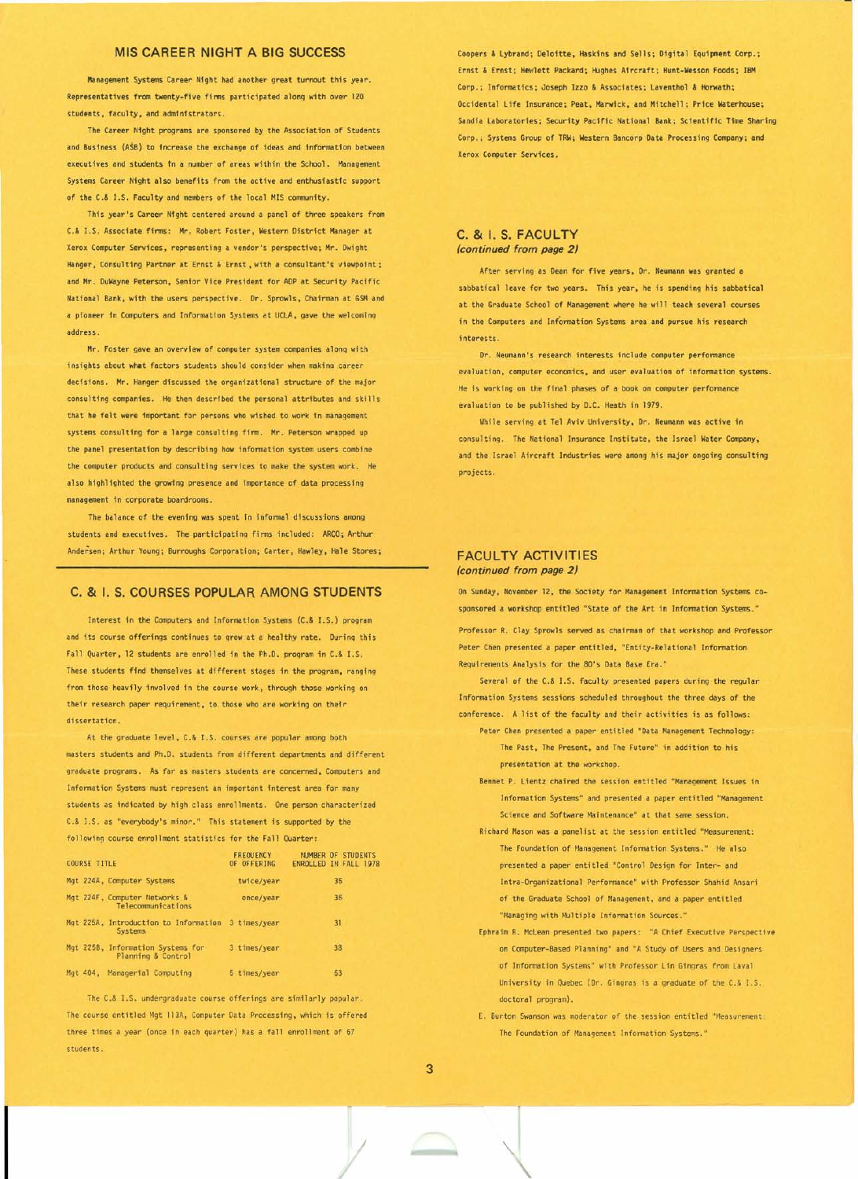Management Systems Career Night had another great turnout this year. Representatives from twenty-five finns participated alonq with over 120 students. faculty, and administrators.

The Career Night programs are sponsored by the Association of Students and Business (ASS) to increase the exchange of ideas and information between executives and students tn a number of areas within the School. Management Systems Career Night also benefits from the active and enthusiastic support of the C.& I.S. Faculty and members of the local MIS community.

This year's Career Night centered around a panel of three speakers from C.& I.S. Associate firms: Mr. Robert Foster, Western District Manager at Xerox Computer servtces , representing a vendor's perspective; Mr. Dwight Hanger, Consulting Partner at Ernst & Ernst, with a consultant's viewpoint: and Mr. DuWayne Peterson, Senior Vice President for ADP at Security Pacific National Bank, with the users perspective. Or. Sprowls, Chairman at GSMand a pioneer in Computers and Information Systems at UCLA, gave the welcomino address.

Mr. Foster gave an overview of computer system companies alonq with insights about what factors students should consider when making career decisions. Mr. Hanger discussed the organizational structure of the major consulting companies. He then described the personal attributes and skills that he felt were important for persons who wished to work in management systems consulting for a large consulting firm. Mr. Peterson wrapped up the panel presentation by describing how infonnation system users combine the computer products and consulting services to make the system work. He also highlighted the growing presence and importance of data processing management in corporate boardrooms.

The balance of the evening was spent in informal discussions among students and executives. The participating firms included: ARCO; Arthur Andersen; Arthur Young; Burroughs Corporation; Carter, Hawley, Hale Stores;

### C. & I. S. COURSES POPULAR AMONG STUDENTS On Sunday, November 12, the Society for Management Information Systems co-

Interest in the Computers and Information Systems (C.& 1.5.) proqrem and its course offerings continues to grow at a healthy rate. Ourinq this Fall Quarter, 12 students are enrolled in the Ph.D. program in C.& I.S. These students find themselves at different stages in the program, ranging from those heavily involved in the course work. through those working on their research paper requirement, to. those who are working on thefr dissertation.

At the graduate level, C.& I.S. courses are popular among both masters students and Ph.D. students from different departments and different graduate programs. As far as masters students are concerned. Computers and Information Systems must represent an important interest area for many students as indicated by high class enrollments. One person characterized C.& 1.5. as "everybody's minor." This statement is supported by the following course enrollment statistics for the Fall Quarter:

| <b>COURSE TITLE</b>                                     | <b>FREQUENCY</b><br>OF OFFERING | NUMBER OF STUDENTS<br>ENROLLED IN FALL 1978 |
|---------------------------------------------------------|---------------------------------|---------------------------------------------|
| Mgt 224A, Computer Systems                              | twice/year                      | 36                                          |
| Mgt 224F, Computer Networks &<br>Telecommunications     | once/year                       | 36                                          |
| Mgt 225A, Introduction to Information<br>Systems        | 3 times/year                    | 31                                          |
| Mgt 225B, Information Systems for<br>Planning & Control | 3 times/year                    | 38                                          |
| Mgt 404, Managerial Computing                           | 5 times/year                    | 63                                          |

The C.& I.S. undergraduate course offerings are similarly popular. (a) and the doctoral program). The course entitled Mgt 113A, Computer Data Processing, which is offered three times a year (once in each quarter) has a fall enrollment of 67 students.

MIS CAREER NIGHT A BIG SUCCESS Coopers & Lybrand; De10itte, Haskins and Sells; Digital Equipment Corp.; Ernst & Ernst: Hewlett Packard; Hughes Aircraft; Hunt-Wesson Foods: IBM Corp.: Informatics: Joseph Izzo & Associates; Laventhol & Horwath; Occidental Life Insurance; Peat, Marwick, and Mitchell; Price Waterhouse; Sandia laboratories; Security Pacific National Bank; Sc1entific Time Sharing Corp.; Systems Group of TRW; Western Bancorp Data Processing Company; and Xerox Computer Services.

### C. & I. S. FACULTY *(continued from page 2)*

After serving as Dean for five years, Or. Neumann was granted a sabbatical leave for two years. This year, he is spending his sabbatical at the Graduate School of Management where he will teach several courses in the Computers and Information Systems area and pursue his research interests.

Or. Neumann's research interests include computer performance evaluation, computer economics. and user evaluation of infonnation systems. He is working on the final phases of a book on computer performance evaluation to be published by D.C. Heath in 1979.

While serving at Tel Aviv University, Dr. Neumann was active in consulting. The National Insurance Institute. the Israel Water Company, and the Israel Aircraft Industries were among his major ongoing consulting projects.

### FACULTY ACTIVITIES *(continued from page 2)*

sponsored a workshop entitled "State of the Art in Information Systems."

Professor R. Clay Sprowls served as chairman of that workshop and Professor Peter Chen presented a paper entitled. "Entity-Relational Information Requirements Analysis for the 80's Data Base Era."

Several of the C.& I.S. faculty presented papers during the regular Information Systems sessions scheduled throughout the three days of the conference. A list of the faculty and their activities is as follows:

- Peter Chen presented a paper entitled "Data Management Technology: The Past, The Present. and The Future" in addition to his presentation at the workshop.
- Bennet P. Lientz chaired the session entitled "Management Issues in Information Systems" and presented a paper entitled "Management Science and Software Haintenance" at that same session.
- Richard Mason was a panelist at the session entitled "Measurement: The Foundation of Management Information Systems." He also presented a paper entitled "Control Design for Inter- and Intra-Organizational Performance" with Professor Shahid Ansari of the Graduate School of Management, and a paper entitled "Managing with Multiple Information Sources."
- Ephraim R. McLean presented two papers: "A Chief Executive Perspective on Computer-Based Planning" and "A Study of Users and Designers of Information Systems" with Professor Lin Gingras from Laval University in Quebec (Dr. Gingras is a graduate of the C.& I.S.
- E. Burton Swanson was moderator of the session entitled "Neasurement : The Foundation of Management Information Systems."